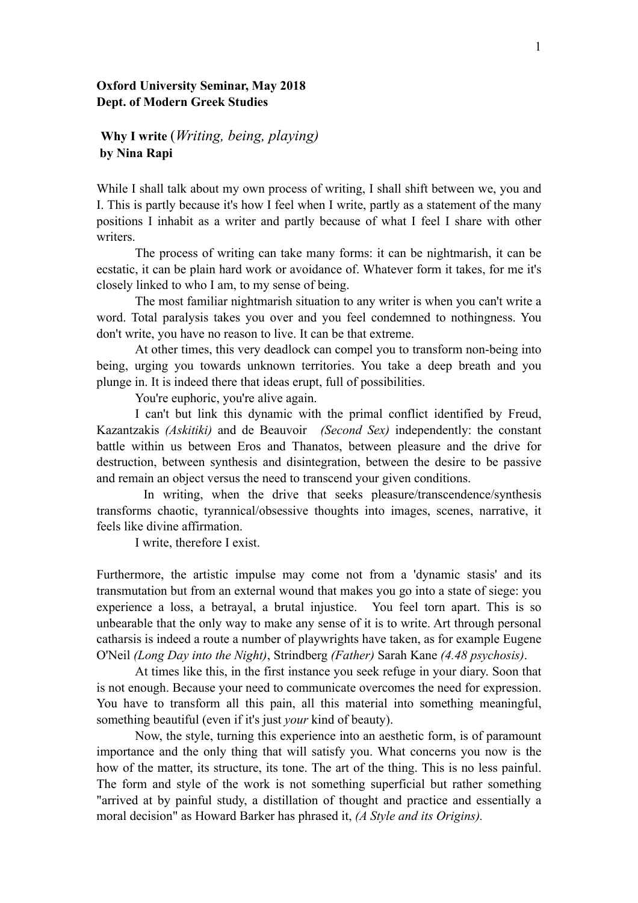## **Oxford University Seminar, May 2018 Dept. of Modern Greek Studies**

## **Why I write** (*Writing, being, playing)*  **by Nina Rapi**

While I shall talk about my own process of writing, I shall shift between we, you and I. This is partly because it's how I feel when I write, partly as a statement of the many positions I inhabit as a writer and partly because of what I feel I share with other writers.

 The process of writing can take many forms: it can be nightmarish, it can be ecstatic, it can be plain hard work or avoidance of. Whatever form it takes, for me it's closely linked to who I am, to my sense of being.

 The most familiar nightmarish situation to any writer is when you can't write a word. Total paralysis takes you over and you feel condemned to nothingness. You don't write, you have no reason to live. It can be that extreme.

 At other times, this very deadlock can compel you to transform non-being into being, urging you towards unknown territories. You take a deep breath and you plunge in. It is indeed there that ideas erupt, full of possibilities.

You're euphoric, you're alive again.

 I can't but link this dynamic with the primal conflict identified by Freud, Kazantzakis *(Askitiki)* and de Beauvoir *(Second Sex)* independently: the constant battle within us between Eros and Thanatos, between pleasure and the drive for destruction, between synthesis and disintegration, between the desire to be passive and remain an object versus the need to transcend your given conditions.

 In writing, when the drive that seeks pleasure/transcendence/synthesis transforms chaotic, tyrannical/obsessive thoughts into images, scenes, narrative, it feels like divine affirmation.

I write, therefore I exist.

Furthermore, the artistic impulse may come not from a 'dynamic stasis' and its transmutation but from an external wound that makes you go into a state of siege: you experience a loss, a betrayal, a brutal injustice. You feel torn apart. This is so unbearable that the only way to make any sense of it is to write. Art through personal catharsis is indeed a route a number of playwrights have taken, as for example Eugene O'Neil *(Long Day into the Night)*, Strindberg *(Father)* Sarah Kane *(4.48 psychosis)*.

 At times like this, in the first instance you seek refuge in your diary. Soon that is not enough. Because your need to communicate overcomes the need for expression. You have to transform all this pain, all this material into something meaningful, something beautiful (even if it's just *your* kind of beauty).

 Now, the style, turning this experience into an aesthetic form, is of paramount importance and the only thing that will satisfy you. What concerns you now is the how of the matter, its structure, its tone. The art of the thing. This is no less painful. The form and style of the work is not something superficial but rather something "arrived at by painful study, a distillation of thought and practice and essentially a moral decision" as Howard Barker has phrased it, *(A Style and its Origins).*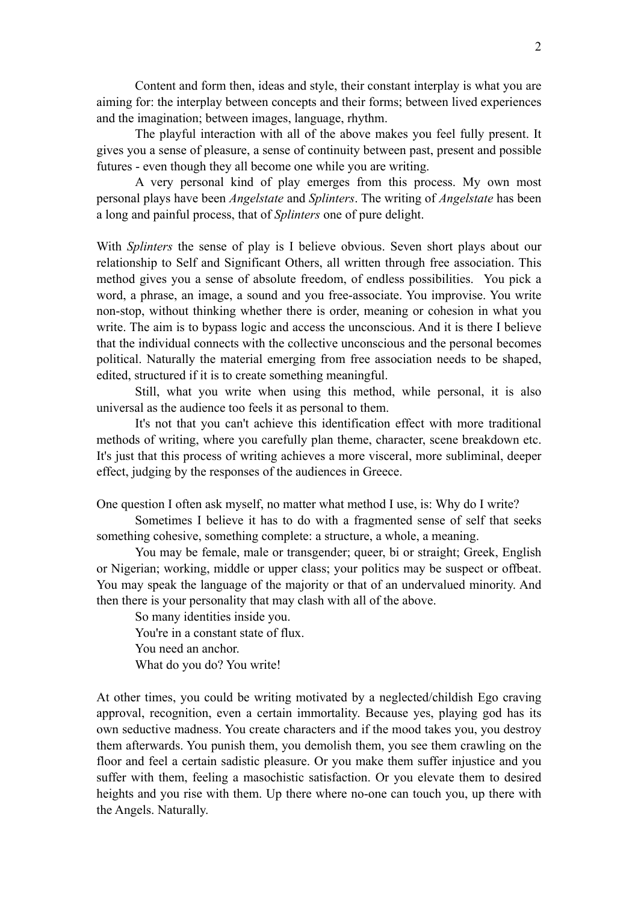Content and form then, ideas and style, their constant interplay is what you are aiming for: the interplay between concepts and their forms; between lived experiences and the imagination; between images, language, rhythm.

 The playful interaction with all of the above makes you feel fully present. It gives you a sense of pleasure, a sense of continuity between past, present and possible futures - even though they all become one while you are writing.

 A very personal kind of play emerges from this process. My own most personal plays have been *Angelstate* and *Splinters*. The writing of *Angelstate* has been a long and painful process, that of *Splinters* one of pure delight.

With *Splinters* the sense of play is I believe obvious. Seven short plays about our relationship to Self and Significant Others, all written through free association. This method gives you a sense of absolute freedom, of endless possibilities. You pick a word, a phrase, an image, a sound and you free-associate. You improvise. You write non-stop, without thinking whether there is order, meaning or cohesion in what you write. The aim is to bypass logic and access the unconscious. And it is there I believe that the individual connects with the collective unconscious and the personal becomes political. Naturally the material emerging from free association needs to be shaped, edited, structured if it is to create something meaningful.

 Still, what you write when using this method, while personal, it is also universal as the audience too feels it as personal to them.

 It's not that you can't achieve this identification effect with more traditional methods of writing, where you carefully plan theme, character, scene breakdown etc. It's just that this process of writing achieves a more visceral, more subliminal, deeper effect, judging by the responses of the audiences in Greece.

One question I often ask myself, no matter what method I use, is: Why do I write?

 Sometimes I believe it has to do with a fragmented sense of self that seeks something cohesive, something complete: a structure, a whole, a meaning.

 You may be female, male or transgender; queer, bi or straight; Greek, English or Nigerian; working, middle or upper class; your politics may be suspect or offbeat. You may speak the language of the majority or that of an undervalued minority. And then there is your personality that may clash with all of the above.

 So many identities inside you. You're in a constant state of flux. You need an anchor. What do you do? You write!

At other times, you could be writing motivated by a neglected/childish Ego craving approval, recognition, even a certain immortality. Because yes, playing god has its own seductive madness. You create characters and if the mood takes you, you destroy them afterwards. You punish them, you demolish them, you see them crawling on the floor and feel a certain sadistic pleasure. Or you make them suffer injustice and you suffer with them, feeling a masochistic satisfaction. Or you elevate them to desired heights and you rise with them. Up there where no-one can touch you, up there with the Angels. Naturally.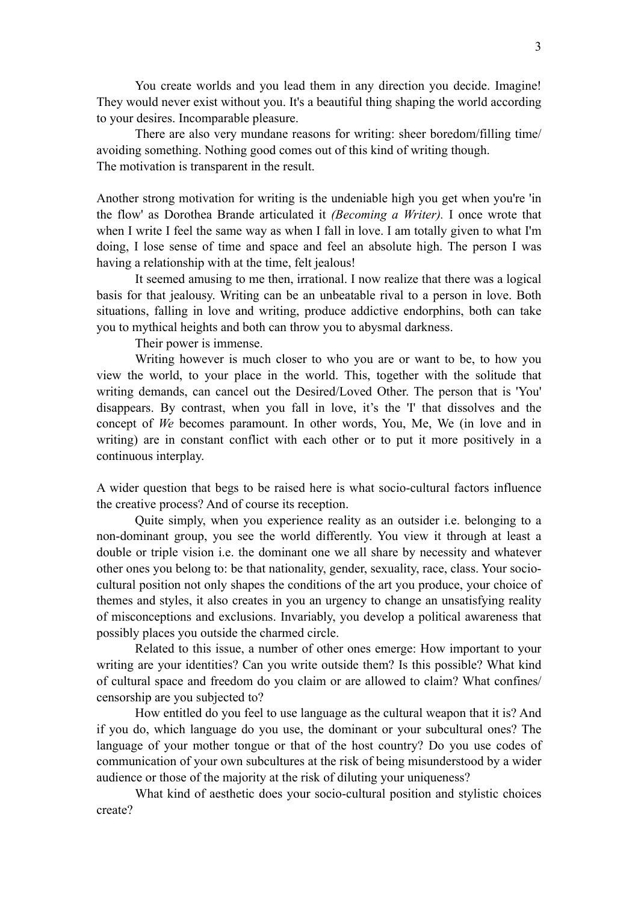You create worlds and you lead them in any direction you decide. Imagine! They would never exist without you. It's a beautiful thing shaping the world according to your desires. Incomparable pleasure.

 There are also very mundane reasons for writing: sheer boredom/filling time/ avoiding something. Nothing good comes out of this kind of writing though. The motivation is transparent in the result.

Another strong motivation for writing is the undeniable high you get when you're 'in the flow' as Dorothea Brande articulated it *(Becoming a Writer).* I once wrote that when I write I feel the same way as when I fall in love. I am totally given to what I'm doing, I lose sense of time and space and feel an absolute high. The person I was having a relationship with at the time, felt jealous!

 It seemed amusing to me then, irrational. I now realize that there was a logical basis for that jealousy. Writing can be an unbeatable rival to a person in love. Both situations, falling in love and writing, produce addictive endorphins, both can take you to mythical heights and both can throw you to abysmal darkness.

Their power is immense.

 Writing however is much closer to who you are or want to be, to how you view the world, to your place in the world. This, together with the solitude that writing demands, can cancel out the Desired/Loved Other. The person that is 'You' disappears. By contrast, when you fall in love, it's the 'I' that dissolves and the concept of *We* becomes paramount. In other words, You, Me, We (in love and in writing) are in constant conflict with each other or to put it more positively in a continuous interplay.

A wider question that begs to be raised here is what socio-cultural factors influence the creative process? And of course its reception.

 Quite simply, when you experience reality as an outsider i.e. belonging to a non-dominant group, you see the world differently. You view it through at least a double or triple vision i.e. the dominant one we all share by necessity and whatever other ones you belong to: be that nationality, gender, sexuality, race, class. Your sociocultural position not only shapes the conditions of the art you produce, your choice of themes and styles, it also creates in you an urgency to change an unsatisfying reality of misconceptions and exclusions. Invariably, you develop a political awareness that possibly places you outside the charmed circle.

 Related to this issue, a number of other ones emerge: How important to your writing are your identities? Can you write outside them? Is this possible? What kind of cultural space and freedom do you claim or are allowed to claim? What confines/ censorship are you subjected to?

 How entitled do you feel to use language as the cultural weapon that it is? And if you do, which language do you use, the dominant or your subcultural ones? The language of your mother tongue or that of the host country? Do you use codes of communication of your own subcultures at the risk of being misunderstood by a wider audience or those of the majority at the risk of diluting your uniqueness?

What kind of aesthetic does your socio-cultural position and stylistic choices create?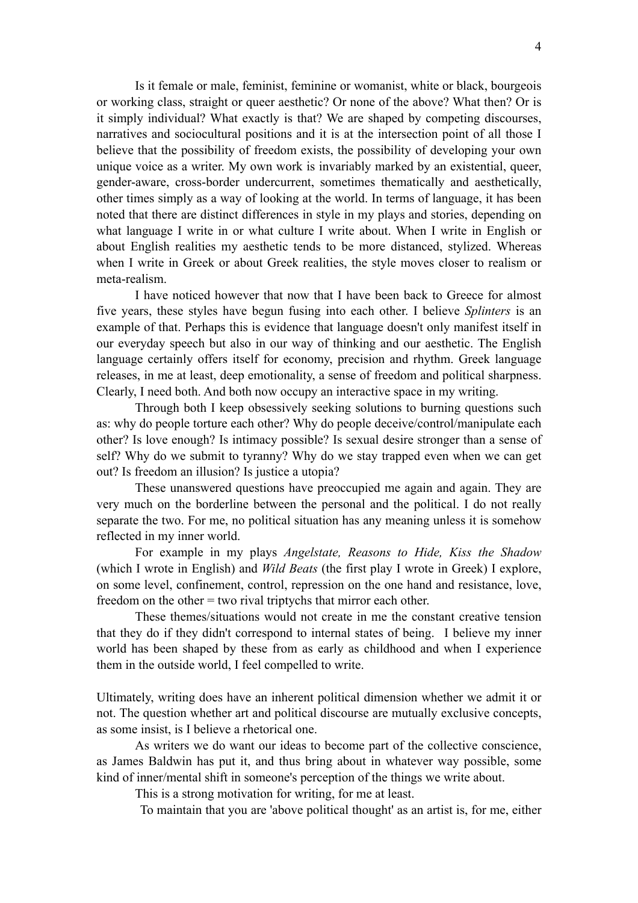Is it female or male, feminist, feminine or womanist, white or black, bourgeois or working class, straight or queer aesthetic? Or none of the above? What then? Or is it simply individual? What exactly is that? We are shaped by competing discourses, narratives and sociocultural positions and it is at the intersection point of all those I believe that the possibility of freedom exists, the possibility of developing your own unique voice as a writer. My own work is invariably marked by an existential, queer, gender-aware, cross-border undercurrent, sometimes thematically and aesthetically, other times simply as a way of looking at the world. In terms of language, it has been noted that there are distinct differences in style in my plays and stories, depending on what language I write in or what culture I write about. When I write in English or about English realities my aesthetic tends to be more distanced, stylized. Whereas when I write in Greek or about Greek realities, the style moves closer to realism or meta-realism.

 I have noticed however that now that I have been back to Greece for almost five years, these styles have begun fusing into each other. I believe *Splinters* is an example of that. Perhaps this is evidence that language doesn't only manifest itself in our everyday speech but also in our way of thinking and our aesthetic. The English language certainly offers itself for economy, precision and rhythm. Greek language releases, in me at least, deep emotionality, a sense of freedom and political sharpness. Clearly, I need both. And both now occupy an interactive space in my writing.

 Through both I keep obsessively seeking solutions to burning questions such as: why do people torture each other? Why do people deceive/control/manipulate each other? Is love enough? Is intimacy possible? Is sexual desire stronger than a sense of self? Why do we submit to tyranny? Why do we stay trapped even when we can get out? Is freedom an illusion? Is justice a utopia?

 These unanswered questions have preoccupied me again and again. They are very much on the borderline between the personal and the political. I do not really separate the two. For me, no political situation has any meaning unless it is somehow reflected in my inner world.

 For example in my plays *Angelstate, Reasons to Hide, Kiss the Shadow*  (which I wrote in English) and *Wild Beats* (the first play I wrote in Greek) I explore, on some level, confinement, control, repression on the one hand and resistance, love, freedom on the other = two rival triptychs that mirror each other.

 These themes/situations would not create in me the constant creative tension that they do if they didn't correspond to internal states of being. I believe my inner world has been shaped by these from as early as childhood and when I experience them in the outside world, I feel compelled to write.

Ultimately, writing does have an inherent political dimension whether we admit it or not. The question whether art and political discourse are mutually exclusive concepts, as some insist, is I believe a rhetorical one.

 As writers we do want our ideas to become part of the collective conscience, as James Baldwin has put it, and thus bring about in whatever way possible, some kind of inner/mental shift in someone's perception of the things we write about.

This is a strong motivation for writing, for me at least.

To maintain that you are 'above political thought' as an artist is, for me, either